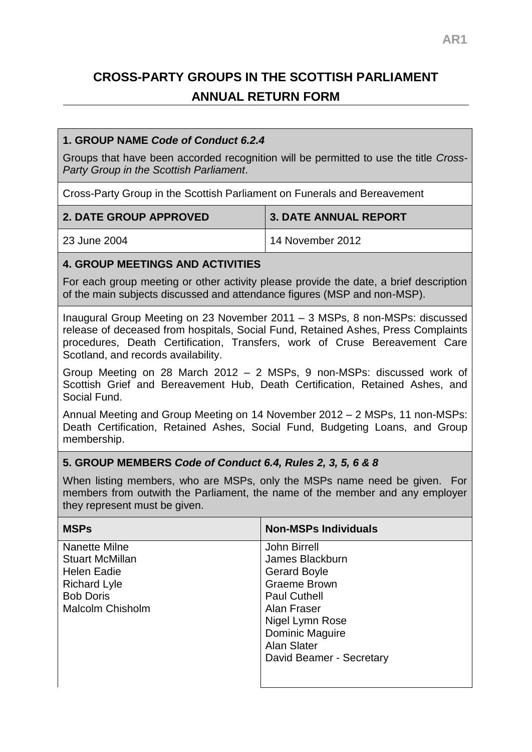# **CROSS-PARTY GROUPS IN THE SCOTTISH PARLIAMENT ANNUAL RETURN FORM**

#### **1. GROUP NAME** *Code of Conduct 6.2.4*

Groups that have been accorded recognition will be permitted to use the title *Cross-Party Group in the Scottish Parliament*.

Cross-Party Group in the Scottish Parliament on Funerals and Bereavement

| <b>2. DATE GROUP APPROVED</b> | <b>3. DATE ANNUAL REPORT</b> |
|-------------------------------|------------------------------|
| 23 June 2004                  | 14 November 2012             |

#### **4. GROUP MEETINGS AND ACTIVITIES**

For each group meeting or other activity please provide the date, a brief description of the main subjects discussed and attendance figures (MSP and non-MSP).

Inaugural Group Meeting on 23 November 2011 – 3 MSPs, 8 non-MSPs: discussed release of deceased from hospitals, Social Fund, Retained Ashes, Press Complaints procedures, Death Certification, Transfers, work of Cruse Bereavement Care Scotland, and records availability.

Group Meeting on 28 March 2012 – 2 MSPs, 9 non-MSPs: discussed work of Scottish Grief and Bereavement Hub, Death Certification, Retained Ashes, and Social Fund.

Annual Meeting and Group Meeting on 14 November 2012 – 2 MSPs, 11 non-MSPs: Death Certification, Retained Ashes, Social Fund, Budgeting Loans, and Group membership.

#### **5. GROUP MEMBERS** *Code of Conduct 6.4, Rules 2, 3, 5, 6 & 8*

When listing members, who are MSPs, only the MSPs name need be given. For members from outwith the Parliament, the name of the member and any employer they represent must be given.

| <b>MSPs</b>             | <b>Non-MSPs Individuals</b> |
|-------------------------|-----------------------------|
| Nanette Milne           | <b>John Birrell</b>         |
| <b>Stuart McMillan</b>  | James Blackburn             |
| <b>Helen Eadie</b>      | <b>Gerard Boyle</b>         |
| <b>Richard Lyle</b>     | <b>Graeme Brown</b>         |
| <b>Bob Doris</b>        | <b>Paul Cuthell</b>         |
| <b>Malcolm Chisholm</b> | Alan Fraser                 |
|                         | Nigel Lymn Rose             |
|                         | <b>Dominic Maguire</b>      |
|                         | Alan Slater                 |
|                         | David Beamer - Secretary    |
|                         |                             |
|                         |                             |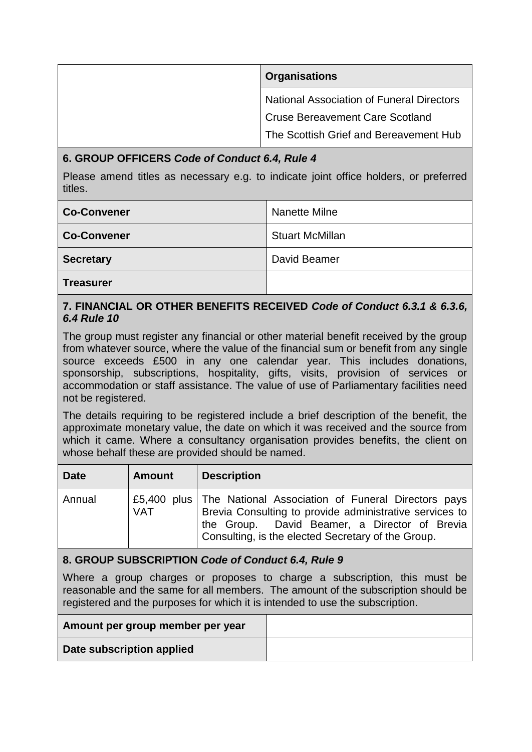| <b>Organisations</b>                             |
|--------------------------------------------------|
| <b>National Association of Funeral Directors</b> |
| <b>Cruse Bereavement Care Scotland</b>           |
| The Scottish Grief and Bereavement Hub           |

### **6. GROUP OFFICERS** *Code of Conduct 6.4, Rule 4*

Please amend titles as necessary e.g. to indicate joint office holders, or preferred titles.

| <b>Co-Convener</b> | Nanette Milne          |
|--------------------|------------------------|
| <b>Co-Convener</b> | <b>Stuart McMillan</b> |
| <b>Secretary</b>   | David Beamer           |
| <b>Treasurer</b>   |                        |

#### **7. FINANCIAL OR OTHER BENEFITS RECEIVED** *Code of Conduct 6.3.1 & 6.3.6, 6.4 Rule 10*

The group must register any financial or other material benefit received by the group from whatever source, where the value of the financial sum or benefit from any single source exceeds £500 in any one calendar year. This includes donations, sponsorship, subscriptions, hospitality, gifts, visits, provision of services or accommodation or staff assistance. The value of use of Parliamentary facilities need not be registered.

The details requiring to be registered include a brief description of the benefit, the approximate monetary value, the date on which it was received and the source from which it came. Where a consultancy organisation provides benefits, the client on whose behalf these are provided should be named.

| <b>Date</b> | <b>Amount</b> | <b>Description</b>                                                                                                                                                                                                                 |
|-------------|---------------|------------------------------------------------------------------------------------------------------------------------------------------------------------------------------------------------------------------------------------|
| Annual      | VAT           | £5,400 plus   The National Association of Funeral Directors pays<br>Brevia Consulting to provide administrative services to<br>the Group. David Beamer, a Director of Brevia<br>Consulting, is the elected Secretary of the Group. |

## **8. GROUP SUBSCRIPTION** *Code of Conduct 6.4, Rule 9*

Where a group charges or proposes to charge a subscription, this must be reasonable and the same for all members. The amount of the subscription should be registered and the purposes for which it is intended to use the subscription.

| Amount per group member per year |  |
|----------------------------------|--|
| Date subscription applied        |  |